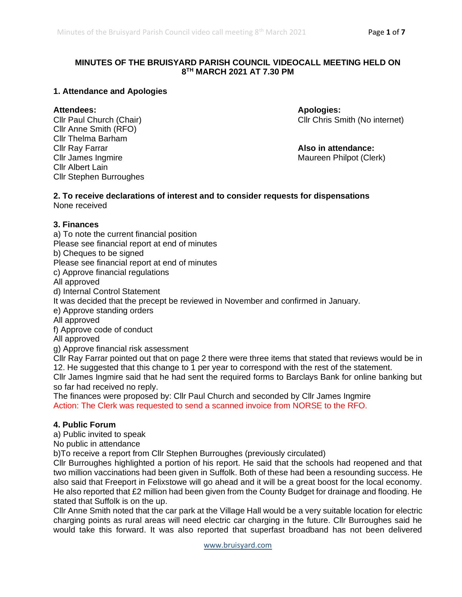### **MINUTES OF THE BRUISYARD PARISH COUNCIL VIDEOCALL MEETING HELD ON 8 TH MARCH 2021 AT 7.30 PM**

#### **1. Attendance and Apologies**

**Attendees: Apologies:** Cllr Anne Smith (RFO) Cllr Thelma Barham Cllr Ray Farrar **Also in attendance:** Cllr James Ingmire **Maureen Philpot (Clerk)** Maureen Philpot (Clerk) Cllr Albert Lain Cllr Stephen Burroughes

Cllr Chris Smith (No internet)

#### **2. To receive declarations of interest and to consider requests for dispensations** None received

#### **3. Finances**

a) To note the current financial position

Please see financial report at end of minutes

b) Cheques to be signed

Please see financial report at end of minutes

c) Approve financial regulations

All approved

d) Internal Control Statement

It was decided that the precept be reviewed in November and confirmed in January.

e) Approve standing orders

All approved

f) Approve code of conduct

All approved

g) Approve financial risk assessment

Cllr Ray Farrar pointed out that on page 2 there were three items that stated that reviews would be in 12. He suggested that this change to 1 per year to correspond with the rest of the statement.

Cllr James Ingmire said that he had sent the required forms to Barclays Bank for online banking but so far had received no reply.

The finances were proposed by: Cllr Paul Church and seconded by Cllr James Ingmire Action: The Clerk was requested to send a scanned invoice from NORSE to the RFO.

### **4. Public Forum**

a) Public invited to speak

No public in attendance

b)To receive a report from Cllr Stephen Burroughes (previously circulated)

Cllr Burroughes highlighted a portion of his report. He said that the schools had reopened and that two million vaccinations had been given in Suffolk. Both of these had been a resounding success. He also said that Freeport in Felixstowe will go ahead and it will be a great boost for the local economy. He also reported that £2 million had been given from the County Budget for drainage and flooding. He stated that Suffolk is on the up.

Cllr Anne Smith noted that the car park at the Village Hall would be a very suitable location for electric charging points as rural areas will need electric car charging in the future. Cllr Burroughes said he would take this forward. It was also reported that superfast broadband has not been delivered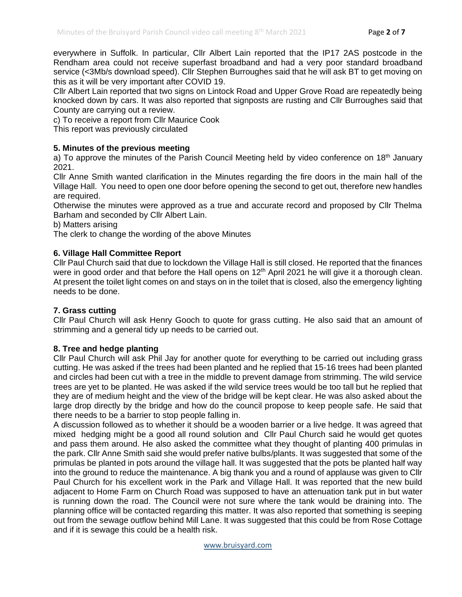everywhere in Suffolk. In particular, Cllr Albert Lain reported that the IP17 2AS postcode in the Rendham area could not receive superfast broadband and had a very poor standard broadband service (<3Mb/s download speed). Cllr Stephen Burroughes said that he will ask BT to get moving on this as it will be very important after COVID 19.

Cllr Albert Lain reported that two signs on Lintock Road and Upper Grove Road are repeatedly being knocked down by cars. It was also reported that signposts are rusting and Cllr Burroughes said that County are carrying out a review.

c) To receive a report from Cllr Maurice Cook

This report was previously circulated

#### **5. Minutes of the previous meeting**

a) To approve the minutes of the Parish Council Meeting held by video conference on 18<sup>th</sup> January 2021.

Cllr Anne Smith wanted clarification in the Minutes regarding the fire doors in the main hall of the Village Hall. You need to open one door before opening the second to get out, therefore new handles are required.

Otherwise the minutes were approved as a true and accurate record and proposed by Cllr Thelma Barham and seconded by Cllr Albert Lain.

b) Matters arising

The clerk to change the wording of the above Minutes

#### **6. Village Hall Committee Report**

Cllr Paul Church said that due to lockdown the Village Hall is still closed. He reported that the finances were in good order and that before the Hall opens on 12<sup>th</sup> April 2021 he will give it a thorough clean. At present the toilet light comes on and stays on in the toilet that is closed, also the emergency lighting needs to be done.

#### **7. Grass cutting**

Cllr Paul Church will ask Henry Gooch to quote for grass cutting. He also said that an amount of strimming and a general tidy up needs to be carried out.

### **8. Tree and hedge planting**

Cllr Paul Church will ask Phil Jay for another quote for everything to be carried out including grass cutting. He was asked if the trees had been planted and he replied that 15-16 trees had been planted and circles had been cut with a tree in the middle to prevent damage from strimming. The wild service trees are yet to be planted. He was asked if the wild service trees would be too tall but he replied that they are of medium height and the view of the bridge will be kept clear. He was also asked about the large drop directly by the bridge and how do the council propose to keep people safe. He said that there needs to be a barrier to stop people falling in.

A discussion followed as to whether it should be a wooden barrier or a live hedge. It was agreed that mixed hedging might be a good all round solution and Cllr Paul Church said he would get quotes and pass them around. He also asked the committee what they thought of planting 400 primulas in the park. Cllr Anne Smith said she would prefer native bulbs/plants. It was suggested that some of the primulas be planted in pots around the village hall. It was suggested that the pots be planted half way into the ground to reduce the maintenance. A big thank you and a round of applause was given to Cllr Paul Church for his excellent work in the Park and Village Hall. It was reported that the new build adjacent to Home Farm on Church Road was supposed to have an attenuation tank put in but water is running down the road. The Council were not sure where the tank would be draining into. The planning office will be contacted regarding this matter. It was also reported that something is seeping out from the sewage outflow behind Mill Lane. It was suggested that this could be from Rose Cottage and if it is sewage this could be a health risk.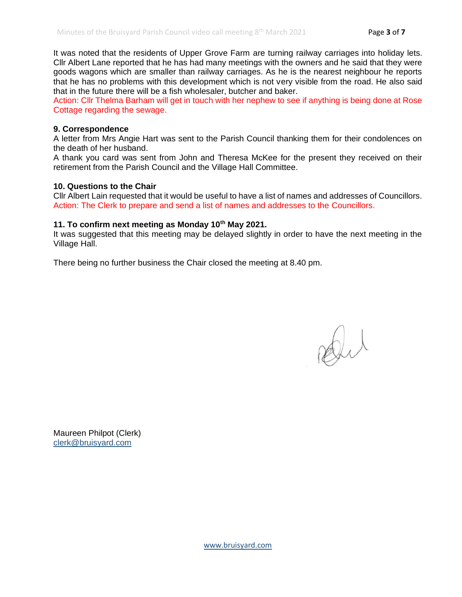It was noted that the residents of Upper Grove Farm are turning railway carriages into holiday lets. Cllr Albert Lane reported that he has had many meetings with the owners and he said that they were goods wagons which are smaller than railway carriages. As he is the nearest neighbour he reports that he has no problems with this development which is not very visible from the road. He also said that in the future there will be a fish wholesaler, butcher and baker.

Action: Cllr Thelma Barham will get in touch with her nephew to see if anything is being done at Rose Cottage regarding the sewage.

#### **9. Correspondence**

A letter from Mrs Angie Hart was sent to the Parish Council thanking them for their condolences on the death of her husband.

A thank you card was sent from John and Theresa McKee for the present they received on their retirement from the Parish Council and the Village Hall Committee.

#### **10. Questions to the Chair**

Cllr Albert Lain requested that it would be useful to have a list of names and addresses of Councillors. Action: The Clerk to prepare and send a list of names and addresses to the Councillors.

#### **11. To confirm next meeting as Monday 10th May 2021.**

It was suggested that this meeting may be delayed slightly in order to have the next meeting in the Village Hall.

There being no further business the Chair closed the meeting at 8.40 pm.

Dut

Maureen Philpot (Clerk) [clerk@bruisyard.com](mailto:clerk@bruisyard.com)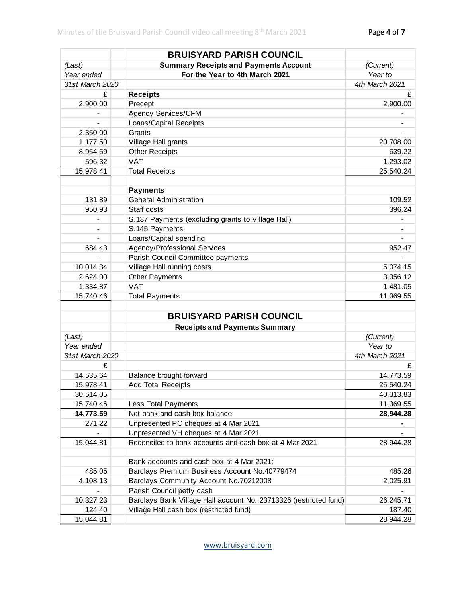|                 | <b>BRUISYARD PARISH COUNCIL</b>                                   |                |
|-----------------|-------------------------------------------------------------------|----------------|
| (Last)          | <b>Summary Receipts and Payments Account</b>                      | (Current)      |
| Year ended      | For the Year to 4th March 2021                                    | Year to        |
| 31st March 2020 |                                                                   | 4th March 2021 |
| £               | <b>Receipts</b>                                                   | £              |
| 2,900.00        | Precept                                                           | 2,900.00       |
|                 | Agency Services/CFM                                               |                |
|                 | Loans/Capital Receipts                                            |                |
| 2,350.00        | Grants                                                            |                |
| 1,177.50        | Village Hall grants                                               | 20,708.00      |
| 8,954.59        | <b>Other Receipts</b>                                             | 639.22         |
| 596.32          | <b>VAT</b>                                                        | 1,293.02       |
| 15,978.41       | <b>Total Receipts</b>                                             | 25,540.24      |
|                 |                                                                   |                |
|                 | <b>Payments</b>                                                   |                |
| 131.89          | <b>General Administration</b>                                     | 109.52         |
| 950.93          | Staff costs                                                       | 396.24         |
|                 | S.137 Payments (excluding grants to Village Hall)                 |                |
|                 | S.145 Payments                                                    |                |
|                 | Loans/Capital spending                                            |                |
| 684.43          | Agency/Professional Services                                      | 952.47         |
|                 | Parish Council Committee payments                                 |                |
| 10,014.34       | Village Hall running costs                                        | 5,074.15       |
| 2,624.00        | <b>Other Payments</b>                                             | 3,356.12       |
| 1,334.87        | <b>VAT</b>                                                        | 1,481.05       |
| 15,740.46       | <b>Total Payments</b>                                             | 11,369.55      |
|                 | <b>BRUISYARD PARISH COUNCIL</b>                                   |                |
|                 | <b>Receipts and Payments Summary</b>                              |                |
| (Last)          |                                                                   | (Current)      |
| Year ended      |                                                                   | Year to        |
| 31st March 2020 |                                                                   | 4th March 2021 |
| £               |                                                                   | £              |
| 14,535.64       | Balance brought forward                                           | 14,773.59      |
| 15,978.41       | <b>Add Total Receipts</b>                                         | 25,540.24      |
| 30,514.05       |                                                                   | 40,313.83      |
| 15,740.46       | Less Total Payments                                               | 11,369.55      |
| 14,773.59       | Net bank and cash box balance                                     | 28,944.28      |
| 271.22          | Unpresented PC cheques at 4 Mar 2021                              |                |
|                 | Unpresented VH cheques at 4 Mar 2021                              |                |
| 15,044.81       | Reconciled to bank accounts and cash box at 4 Mar 2021            | 28,944.28      |
|                 |                                                                   |                |
|                 | Bank accounts and cash box at 4 Mar 2021:                         |                |
| 485.05          | Barclays Premium Business Account No.40779474                     | 485.26         |
| 4,108.13        | Barclays Community Account No.70212008                            | 2,025.91       |
|                 | Parish Council petty cash                                         |                |
| 10,327.23       | Barclays Bank Village Hall account No. 23713326 (restricted fund) | 26,245.71      |
| 124.40          | Village Hall cash box (restricted fund)                           | 187.40         |
| 15,044.81       |                                                                   | 28,944.28      |
|                 |                                                                   |                |
|                 | www.bruisyard.com                                                 |                |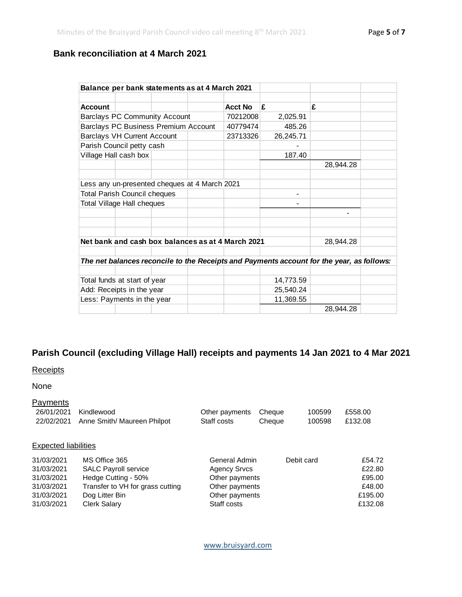# **Bank reconciliation at 4 March 2021**

| Balance per bank statements as at 4 March 2021                                            |                                      |  |          |                |           |           |  |
|-------------------------------------------------------------------------------------------|--------------------------------------|--|----------|----------------|-----------|-----------|--|
|                                                                                           |                                      |  |          |                |           |           |  |
| <b>Account</b>                                                                            |                                      |  |          | <b>Acct No</b> | £         | £         |  |
|                                                                                           | <b>Barclays PC Community Account</b> |  |          | 70212008       | 2,025.91  |           |  |
| Barclays PC Business Premium Account                                                      |                                      |  | 40779474 | 485.26         |           |           |  |
| <b>Barclays VH Current Account</b>                                                        |                                      |  | 23713326 | 26,245.71      |           |           |  |
|                                                                                           | Parish Council petty cash            |  |          |                |           |           |  |
| Village Hall cash box                                                                     |                                      |  |          | 187.40         |           |           |  |
|                                                                                           |                                      |  |          |                |           | 28,944.28 |  |
|                                                                                           |                                      |  |          |                |           |           |  |
| Less any un-presented cheques at 4 March 2021                                             |                                      |  |          |                |           |           |  |
|                                                                                           | <b>Total Parish Council cheques</b>  |  |          |                |           |           |  |
| Total Village Hall cheques                                                                |                                      |  |          |                |           |           |  |
|                                                                                           |                                      |  |          |                |           |           |  |
|                                                                                           |                                      |  |          |                |           |           |  |
|                                                                                           |                                      |  |          |                |           |           |  |
| Net bank and cash box balances as at 4 March 2021                                         |                                      |  |          |                | 28,944.28 |           |  |
|                                                                                           |                                      |  |          |                |           |           |  |
| The net balances reconcile to the Receipts and Payments account for the year, as follows: |                                      |  |          |                |           |           |  |
|                                                                                           |                                      |  |          |                |           |           |  |
| Total funds at start of year                                                              |                                      |  |          | 14,773.59      |           |           |  |
| Add: Receipts in the year                                                                 |                                      |  |          | 25,540.24      |           |           |  |
| Less: Payments in the year                                                                |                                      |  |          | 11,369.55      |           |           |  |
|                                                                                           |                                      |  |          |                |           | 28,944.28 |  |

# **Parish Council (excluding Village Hall) receipts and payments 14 Jan 2021 to 4 Mar 2021**

# **Receipts**

Payments

# None

| 26/01/2021<br>22/02/2021    | Kindlewood<br>Anne Smith/ Maureen Philpot | Other payments<br>Staff costs | Cheque<br>Cheque | 100599<br>100598 | £558.00<br>£132.08 |
|-----------------------------|-------------------------------------------|-------------------------------|------------------|------------------|--------------------|
|                             |                                           |                               |                  |                  |                    |
| <b>Expected liabilities</b> |                                           |                               |                  |                  |                    |
| 31/03/2021                  | MS Office 365                             | General Admin                 |                  | Debit card       | £54.72             |
| 31/03/2021                  | <b>SALC Payroll service</b>               | <b>Agency Srvcs</b>           |                  | £22.80           |                    |
| 31/03/2021                  | Hedge Cutting - 50%                       | Other payments                | £95.00           |                  |                    |
| 31/03/2021                  | Transfer to VH for grass cutting          | Other payments                |                  |                  | £48.00             |
| 31/03/2021                  | Dog Litter Bin                            | Other payments                |                  |                  | £195.00            |
| 31/03/2021                  | <b>Clerk Salary</b>                       | Staff costs                   | £132.08          |                  |                    |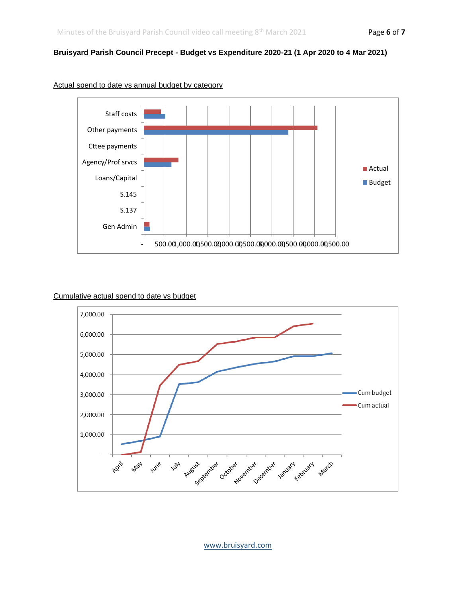#### **Bruisyard Parish Council Precept - Budget vs Expenditure 2020-21 (1 Apr 2020 to 4 Mar 2021)**



#### Actual spend to date vs annual budget by category

#### Cumulative actual spend to date vs budget